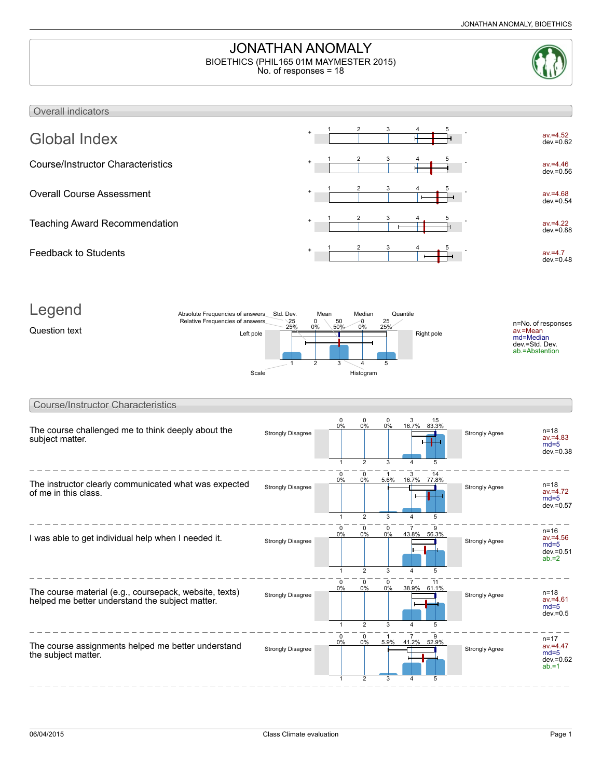# JONATHAN ANOMALY BIOETHICS (PHIL165 01M MAYMESTER 2015)

No. of responses = 18



### Overall indicators Global Index av.=4.52 dev.=0.62 1 2 3 4 5 Course/Instructor Characteristics av.=4.46 dev.=0.56 1 2 3 4 5 Overall Course Assessment av.=4.68 dev.=0.54 1 2 3 4 5 Teaching Award Recommendation av.=4.22 dev.=0.88 1 2 3 4 5 Feedback to Students av.=4.7 dev.=0.48 1 2 3 4 5 Legend Question text  $\frac{2J\theta}{\sqrt{2}} = \frac{2J\theta}{\sqrt{2}} = \frac{2J\theta}{\sqrt{2}} = \frac{2J\theta}{\sqrt{2}} = \frac{2J\theta}{\sqrt{2}} = \frac{2J\theta}{\sqrt{2}} = \frac{2J\theta}{\sqrt{2}} = \frac{2J\theta}{\sqrt{2}} = \frac{2J\theta}{\sqrt{2}} = \frac{2J\theta}{\sqrt{2}} = \frac{2J\theta}{\sqrt{2}} = \frac{2J\theta}{\sqrt{2}} = \frac{2J\theta}{\sqrt{2}} = \frac{2J\theta}{\sqrt{2}} = \frac{2J\theta}{\sqrt$ n=No. of responses av.=Mean md=Median dev.=Std. Dev. ab.=Abstention 25% 25 1 0% 0 2 50%  $50$ 3 0%  $\mathbf 0$ 4 25% 25 5 Absolute Frequencies of answers Relative Frequencies of answers Std. Dev. Mean Median Quantile Scale Histogram Course/Instructor Characteristics The course challenged me to think deeply about the subject matter. Strongly Disagree  $\begin{array}{|c|c|c|c|c|c|}\n\hline\n & \multicolumn{1}{|c|}{0.96} & \multicolumn{1}{|c|}{0.96} & \multicolumn{1}{|c|}{0.96} & \multicolumn{1}{|c|}{0.96} & \multicolumn{1}{|c|}{0.96} & \multicolumn{1}{|c|}{0.96} & \multicolumn{1}{|c|}{0.96} & \multicolumn{1}{|c|}{0.96} & \multicolumn{1}{|c|}{0.96} & \multicolumn{1}{|c|}{0.96} & \multicolumn{1}{|$ av.=4.83  $md=5$ dev.=0.38 0%  $\overline{0}$ 1  $0<sup>0</sup>$  $\overline{0}$ 2 0% 0 3 16.7% 3 4 15<br><u>83.3%</u> 5 The instructor clearly communicated what was expected of me in this class. Strongly Disagree  $\frac{0\%}{\sqrt{0.05}} \frac{0\%}{\sqrt{0.05}} \frac{3.8\%}{\sqrt{0.05}} \frac{10.7\%}{\sqrt{0.05}} \frac{10.7\%}{\sqrt{0.05}}$  Strongly Agree n=18 av.=4.72 md=5 dev.=0.57 0% 0 1 0%  $\overline{0}$ 2 5.6% 1 3 16.7% 3 4 77.8% 14 5 I was able to get individual help when I needed it. Strongly Disagree Strongly Disagree Strongly Agree n=16 av.=4.56  $md=5$ 0%  $\overline{0}$ 0%  $\overline{\mathfrak{o}}$ 0%  $\overline{0}$ 43.8% 7 56.3%  $\overline{\phantom{a}}$

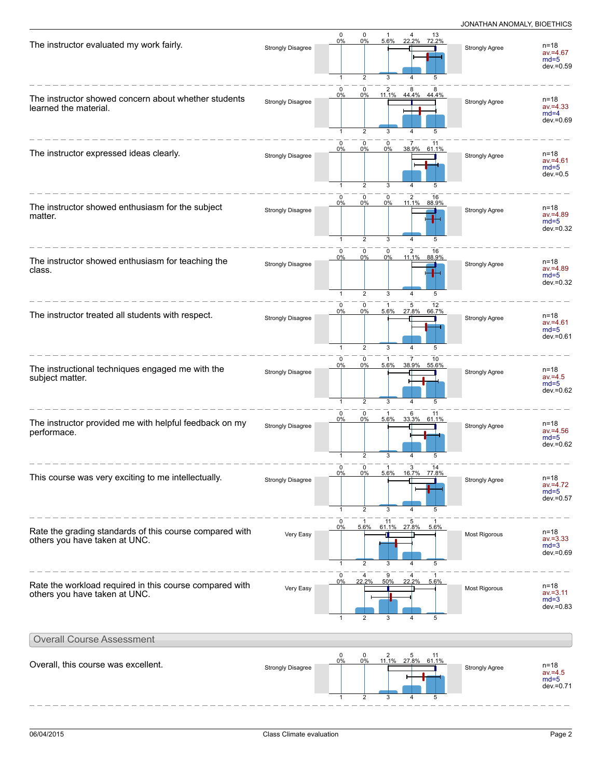| The instructor evaluated my work fairly.                                                 | <b>Strongly Disagree</b> | $\mathbf 0$<br>0%<br>$\mathbf{1}$ | 0<br>0%<br>$\overline{2}$              | 5.6%<br>3                 | 4 13<br>22.2% 72.2%<br>4           | 5                | <b>Strongly Agree</b> | $n = 18$<br>$av = 4.67$<br>$md=5$<br>dev.=0.59    |
|------------------------------------------------------------------------------------------|--------------------------|-----------------------------------|----------------------------------------|---------------------------|------------------------------------|------------------|-----------------------|---------------------------------------------------|
| The instructor showed concern about whether students<br>learned the material.            | <b>Strongly Disagree</b> | 0<br>0%                           | 0<br>0%<br>$\overline{2}$              | 2<br>11.1%<br>3           | 8<br>44.4% 44.4%<br>4              | 5                | <b>Strongly Agree</b> | $n = 18$<br>$av = 4.33$<br>$md=4$<br>dev.=0.69    |
| The instructor expressed ideas clearly.                                                  | <b>Strongly Disagree</b> | $\mathbf 0$<br>0%                 | $\mathbf 0$<br>0%<br>$\overline{2}$    | 0<br>0%<br>3              | $\overline{7}$<br>38.9% 61.1%<br>4 | 11<br>5          | <b>Strongly Agree</b> | n=18<br>$av = 4.61$<br>$md=5$<br>$dev = 0.5$      |
| The instructor showed enthusiasm for the subject<br>matter.                              | <b>Strongly Disagree</b> | $\mathbf 0$<br>0%<br>$\mathbf{1}$ | $\mathbf 0$<br>0%<br>$\overline{2}$    | $\mathbf 0$<br>0%<br>3    | $\overline{2}$<br>11.1% 88.9%<br>4 | 16<br>5          | <b>Strongly Agree</b> | $n = 18$<br>$av = 4.89$<br>$md=5$<br>dev.=0.32    |
| The instructor showed enthusiasm for teaching the<br>class.                              | <b>Strongly Disagree</b> | $\mathbf 0$<br>0%<br>$\mathbf{1}$ | 0<br>0%<br>2                           | 0<br>0%<br>3              | 2 16<br>11.1% 88.9%                | 5                | <b>Strongly Agree</b> | $n = 18$<br>$av = 4.89$<br>$md=5$<br>$dev = 0.32$ |
| The instructor treated all students with respect.                                        | <b>Strongly Disagree</b> | $\mathbf 0$<br>0%<br>$\mathbf{1}$ | $\mathbf 0$<br>0%<br>$\overline{2}$    | $\mathbf{1}$<br>5.6%<br>3 | 5<br>27.8%<br>4                    | 12<br>66.7%<br>5 | <b>Strongly Agree</b> | n=18<br>$av = 4.61$<br>$md=5$<br>dev.=0.61        |
| The instructional techniques engaged me with the<br>subject matter.                      | <b>Strongly Disagree</b> | $\mathbf 0$<br>0%<br>$\mathbf{1}$ | $\mathbf 0$<br>0%<br>$\overline{2}$    | 5.6%<br>3                 | 38.9% 55.6%<br>4                   | 10<br>5          | <b>Strongly Agree</b> | $n = 18$<br>$av = 4.5$<br>$md=5$<br>$dev = 0.62$  |
| The instructor provided me with helpful feedback on my<br>performace.                    | <b>Strongly Disagree</b> | $\Omega$<br>0%<br>1               | 0<br>0%<br>$\overline{2}$              | 5.6%<br>3                 | 6<br>33.3% 61.1%                   | 11<br>5          | <b>Strongly Agree</b> | $n = 18$<br>$av = 4.56$<br>$md=5$<br>$dev = 0.62$ |
| This course was very exciting to me intellectually.                                      | <b>Strongly Disagree</b> | 0<br>1                            | 0<br>0 <sup>0</sup><br>$\overline{2}$  | $\mathbf{1}$<br>500<br>3  | 3<br>4                             | 14<br>77.8%<br>5 | <b>Strongly Agree</b> | n=18<br>$av = 4.72$<br>$md=5$<br>$dev = 0.57$     |
| Rate the grading standards of this course compared with<br>others you have taken at UNC. | Very Easy                | 0<br>0%<br>$\mathbf{1}$           | 5.6%<br>$\overline{2}$                 | 11<br>3                   | 5<br>61.1% 27.8%<br>4              | 5.6%<br>5        | Most Rigorous         | $n = 18$<br>$av = 3.33$<br>$md=3$<br>dev.=0.69    |
| Rate the workload required in this course compared with<br>others you have taken at UNC. | Very Easy                | 0<br>0%<br>$\mathbf{1}$           | 22.2%<br>$\overline{2}$                | 50%<br>3                  | 22.2%<br>$\overline{4}$            | 5.6%<br>5        | Most Rigorous         | $n = 18$<br>$av = 3.11$<br>$md=3$<br>$dev = 0.83$ |
| <b>Overall Course Assessment</b>                                                         |                          |                                   |                                        |                           |                                    |                  |                       |                                                   |
| Overall, this course was excellent.                                                      | <b>Strongly Disagree</b> | $\pmb{0}$<br>0%                   | $\begin{matrix} 0 \\ 0\% \end{matrix}$ | $\frac{2}{11.1\%}$        | $\frac{5}{27.8\%}$                 | 11<br>61.1%<br>5 | <b>Strongly Agree</b> | $n = 18$<br>$av = 4.5$<br>$md=5$<br>$dev = 0.71$  |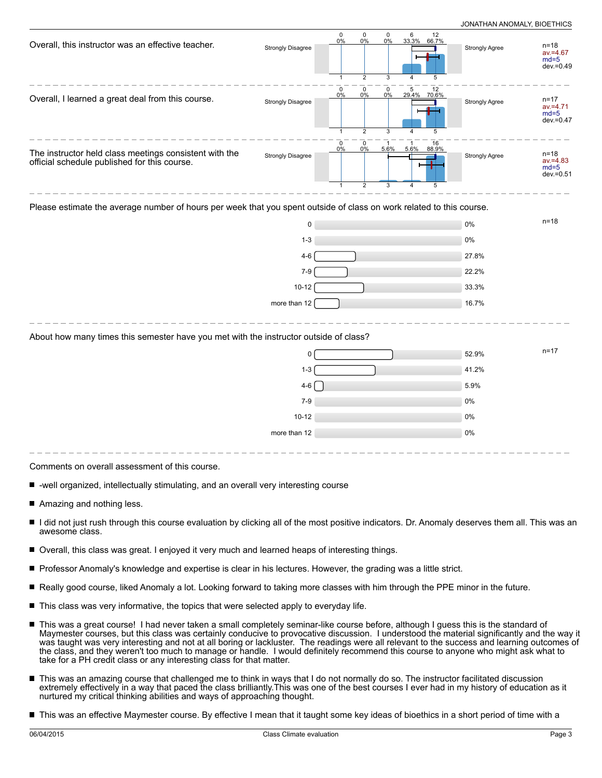| $\pmb{0}$<br>5<br>$\mathbf 0$<br>$\mathbf 0$<br>12<br>29.4% 70.6%<br>0%<br>$0\%$<br>0%<br>Overall, I learned a great deal from this course.<br>$n = 17$<br><b>Strongly Disagree</b><br><b>Strongly Agree</b><br>$av = 4.71$<br>$md=5$<br>$dev = 0.47$<br>$\overline{2}$<br>$\mathbf{1}$<br>3<br>5<br>4<br>$\mathbf 0$<br>0<br>$\mathbf{1}$<br>16<br>-1<br>0%<br>$0\%$<br>5.6%<br>5.6%<br>88.9%<br>The instructor held class meetings consistent with the<br>$n = 18$<br>Strongly Disagree<br>Strongly Agree<br>official schedule published for this course.<br>$av = 4.83$<br>$md=5$<br>$dev = 0.51$<br>$\overline{2}$<br>3<br>4<br>5<br>Please estimate the average number of hours per week that you spent outside of class on work related to this course.<br>$n = 18$<br>0%<br>0<br>$1 - 3$<br>$0\%$<br>$4 - 6$<br>27.8%<br>22.2%<br>$7-9$<br>$10 - 12$<br>33.3%<br>16.7%<br>more than 12<br>About how many times this semester have you met with the instructor outside of class?<br>$n = 17$<br>52.9%<br>$\Omega$<br>$1 - 3$<br>41.2%<br>$4-6$<br>5.9%<br>$7 - 9$<br>0%<br>$10 - 12$<br>0%<br>more than 12<br>0% | Overall, this instructor was an effective teacher. | <b>Strongly Disagree</b> | $\mathbf 0$<br>$0\%$<br>$\mathbf{1}$ | $\begin{array}{c} 0 \\ 0\% \end{array}$<br>$\overline{2}$ | $\mathbf 0$<br>$0\%$<br>3 | 6 12<br>33.3% 66.7%<br>4<br>5 | Strongly Agree | $n = 18$<br>$av = 4.67$<br>$md=5$<br>dev.=0.49 |
|------------------------------------------------------------------------------------------------------------------------------------------------------------------------------------------------------------------------------------------------------------------------------------------------------------------------------------------------------------------------------------------------------------------------------------------------------------------------------------------------------------------------------------------------------------------------------------------------------------------------------------------------------------------------------------------------------------------------------------------------------------------------------------------------------------------------------------------------------------------------------------------------------------------------------------------------------------------------------------------------------------------------------------------------------------------------------------------------------------------------|----------------------------------------------------|--------------------------|--------------------------------------|-----------------------------------------------------------|---------------------------|-------------------------------|----------------|------------------------------------------------|
|                                                                                                                                                                                                                                                                                                                                                                                                                                                                                                                                                                                                                                                                                                                                                                                                                                                                                                                                                                                                                                                                                                                        |                                                    |                          |                                      |                                                           |                           |                               |                |                                                |
|                                                                                                                                                                                                                                                                                                                                                                                                                                                                                                                                                                                                                                                                                                                                                                                                                                                                                                                                                                                                                                                                                                                        |                                                    |                          |                                      |                                                           |                           |                               |                |                                                |
|                                                                                                                                                                                                                                                                                                                                                                                                                                                                                                                                                                                                                                                                                                                                                                                                                                                                                                                                                                                                                                                                                                                        |                                                    |                          |                                      |                                                           |                           |                               |                |                                                |
|                                                                                                                                                                                                                                                                                                                                                                                                                                                                                                                                                                                                                                                                                                                                                                                                                                                                                                                                                                                                                                                                                                                        |                                                    |                          |                                      |                                                           |                           |                               |                |                                                |
|                                                                                                                                                                                                                                                                                                                                                                                                                                                                                                                                                                                                                                                                                                                                                                                                                                                                                                                                                                                                                                                                                                                        |                                                    |                          |                                      |                                                           |                           |                               |                |                                                |
|                                                                                                                                                                                                                                                                                                                                                                                                                                                                                                                                                                                                                                                                                                                                                                                                                                                                                                                                                                                                                                                                                                                        |                                                    |                          |                                      |                                                           |                           |                               |                |                                                |
|                                                                                                                                                                                                                                                                                                                                                                                                                                                                                                                                                                                                                                                                                                                                                                                                                                                                                                                                                                                                                                                                                                                        |                                                    |                          |                                      |                                                           |                           |                               |                |                                                |
|                                                                                                                                                                                                                                                                                                                                                                                                                                                                                                                                                                                                                                                                                                                                                                                                                                                                                                                                                                                                                                                                                                                        |                                                    |                          |                                      |                                                           |                           |                               |                |                                                |
|                                                                                                                                                                                                                                                                                                                                                                                                                                                                                                                                                                                                                                                                                                                                                                                                                                                                                                                                                                                                                                                                                                                        |                                                    |                          |                                      |                                                           |                           |                               |                |                                                |
|                                                                                                                                                                                                                                                                                                                                                                                                                                                                                                                                                                                                                                                                                                                                                                                                                                                                                                                                                                                                                                                                                                                        |                                                    |                          |                                      |                                                           |                           |                               |                |                                                |
|                                                                                                                                                                                                                                                                                                                                                                                                                                                                                                                                                                                                                                                                                                                                                                                                                                                                                                                                                                                                                                                                                                                        |                                                    |                          |                                      |                                                           |                           |                               |                |                                                |
|                                                                                                                                                                                                                                                                                                                                                                                                                                                                                                                                                                                                                                                                                                                                                                                                                                                                                                                                                                                                                                                                                                                        |                                                    |                          |                                      |                                                           |                           |                               |                |                                                |
|                                                                                                                                                                                                                                                                                                                                                                                                                                                                                                                                                                                                                                                                                                                                                                                                                                                                                                                                                                                                                                                                                                                        |                                                    |                          |                                      |                                                           |                           |                               |                |                                                |
|                                                                                                                                                                                                                                                                                                                                                                                                                                                                                                                                                                                                                                                                                                                                                                                                                                                                                                                                                                                                                                                                                                                        |                                                    |                          |                                      |                                                           |                           |                               |                |                                                |
|                                                                                                                                                                                                                                                                                                                                                                                                                                                                                                                                                                                                                                                                                                                                                                                                                                                                                                                                                                                                                                                                                                                        |                                                    |                          |                                      |                                                           |                           |                               |                |                                                |
|                                                                                                                                                                                                                                                                                                                                                                                                                                                                                                                                                                                                                                                                                                                                                                                                                                                                                                                                                                                                                                                                                                                        |                                                    |                          |                                      |                                                           |                           |                               |                |                                                |

Comments on overall assessment of this course.

- -well organized, intellectually stimulating, and an overall very interesting course
- Amazing and nothing less.
- I did not just rush through this course evaluation by clicking all of the most positive indicators. Dr. Anomaly deserves them all. This was an awesome class.
- Overall, this class was great. I enjoyed it very much and learned heaps of interesting things. П
- **Professor Anomaly's knowledge and expertise is clear in his lectures. However, the grading was a little strict.**
- Really good course, liked Anomaly a lot. Looking forward to taking more classes with him through the PPE minor in the future.
- $\blacksquare$  This class was very informative, the topics that were selected apply to everyday life.
- This was a great course! I had never taken a small completely seminar-like course before, although I guess this is the standard of Maymester courses, but this class was certainly conducive to provocative discussion. I understood the material significantly and the way it was taught was very interesting and not at all boring or lackluster. The readings were all relevant to the success and learning outcomes of the class, and they weren't too much to manage or handle. I would definitely recommend this course to anyone who might ask what to take for a PH credit class or any interesting class for that matter.
- This was an amazing course that challenged me to think in ways that I do not normally do so. The instructor facilitated discussion extremely effectively in a way that paced the class brilliantly.This was one of the best courses I ever had in my history of education as it nurtured my critical thinking abilities and ways of approaching thought.
- This was an effective Maymester course. By effective I mean that it taught some key ideas of bioethics in a short period of time with a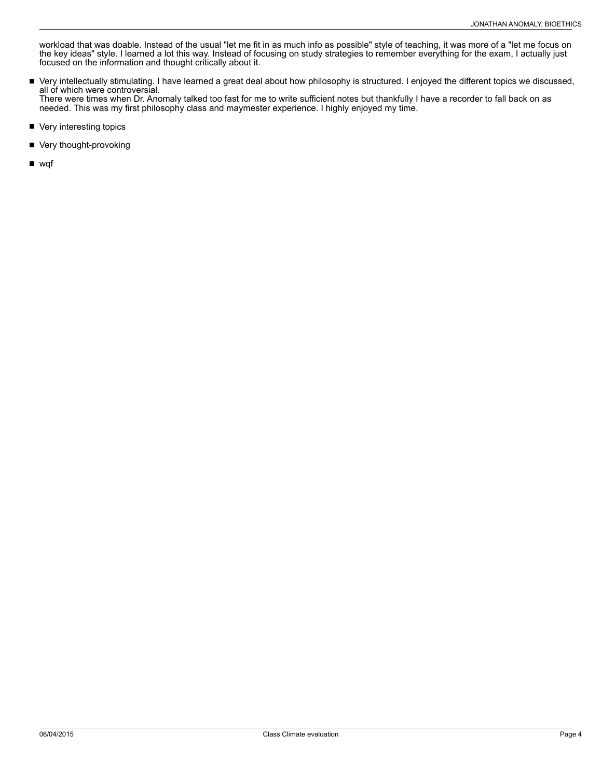workload that was doable. Instead of the usual "let me fit in as much info as possible" style of teaching, it was more of a "let me focus on the key ideas" style. I learned a lot this way. Instead of focusing on study strategies to remember everything for the exam, I actually just focused on the information and thought critically about it.

- $\blacksquare$ Very intellectually stimulating. I have learned a great deal about how philosophy is structured. I enjoyed the different topics we discussed, all of which were controversial. There were times when Dr. Anomaly talked too fast for me to write sufficient notes but thankfully I have a recorder to fall back on as needed. This was my first philosophy class and maymester experience. I highly enjoyed my time.
- Very interesting topics
- Very thought-provoking

■ wqf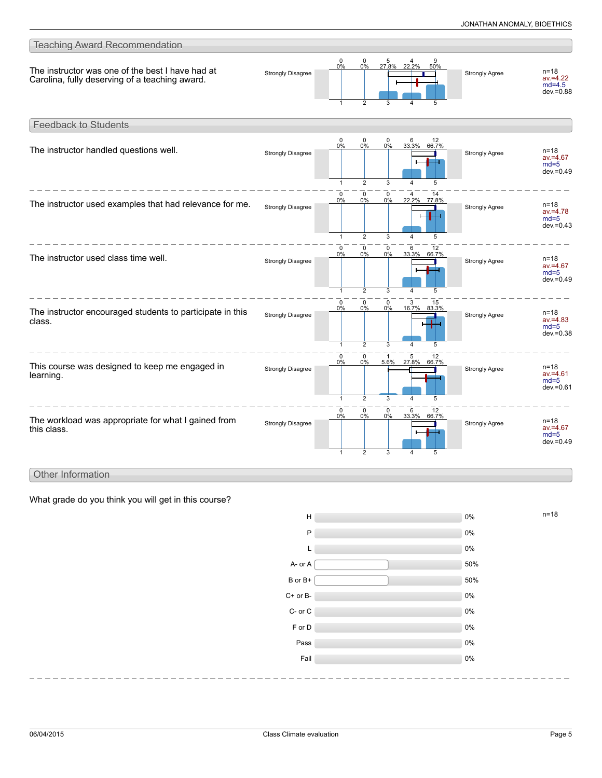

### Other Information

What grade do you think you will get in this course?

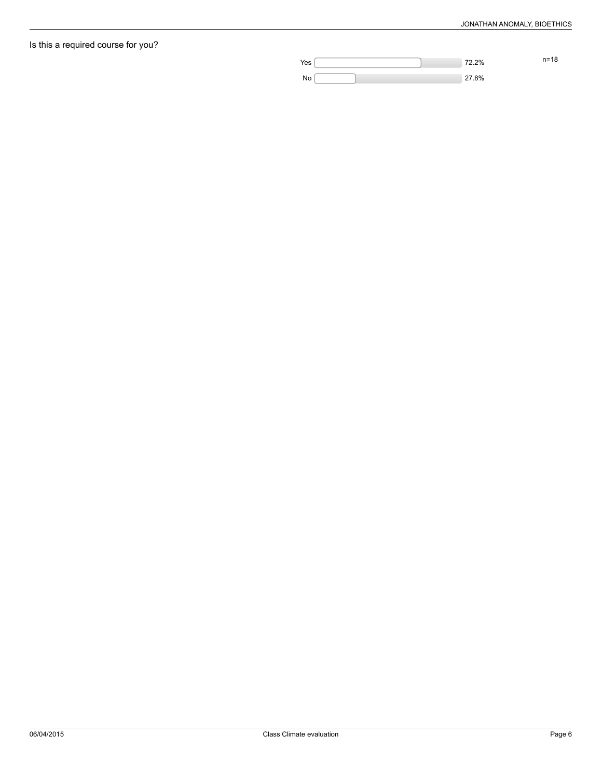## Is this a required course for you?

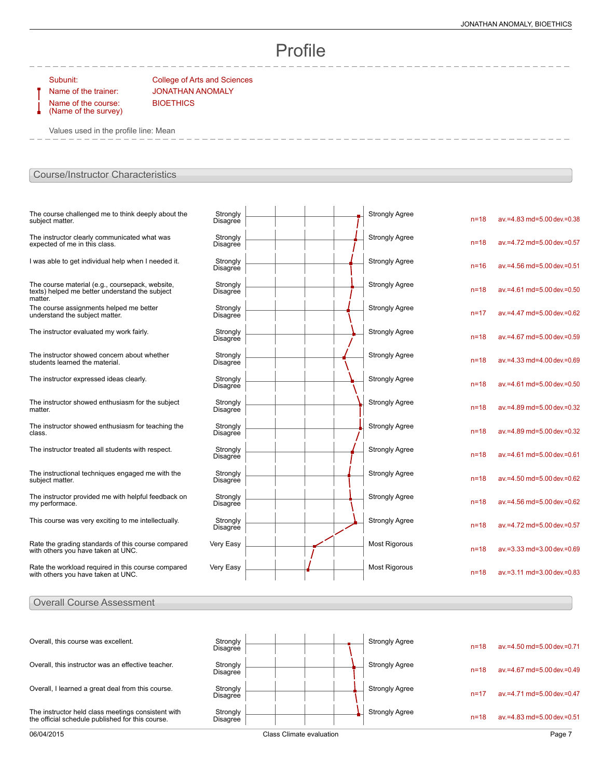# Profile

Name of the course: (Name of the survey)

Subunit: College of Arts and Sciences Name of the trainer: JONATHAN ANOMALY **BIOETHICS** 

Values used in the profile line: Mean

### Course/Instructor Characteristics

| The course challenged me to think deeply about the<br>subject matter.                                        | Strongly<br><b>Disagree</b> |  |  | <b>Strongly Agree</b> | $n=18$   | av.=4.83 md=5.00 dev.=0.38    |
|--------------------------------------------------------------------------------------------------------------|-----------------------------|--|--|-----------------------|----------|-------------------------------|
| The instructor clearly communicated what was<br>expected of me in this class.                                | Strongly<br>Disagree        |  |  | <b>Strongly Agree</b> | $n = 18$ | av.=4.72 md=5.00 dev.=0.57    |
| I was able to get individual help when I needed it.                                                          | Strongly<br><b>Disagree</b> |  |  | <b>Strongly Agree</b> | $n = 16$ | av.=4.56 md=5.00 dev.=0.51    |
| The course material (e.g., coursepack, website,<br>texts) helped me better understand the subject<br>matter. | Strongly<br>Disagree        |  |  | <b>Strongly Agree</b> | $n = 18$ | av.=4.61 md=5.00 dev.=0.50    |
| The course assignments helped me better<br>understand the subject matter.                                    | Strongly<br><b>Disagree</b> |  |  | <b>Strongly Agree</b> | $n = 17$ | av.=4.47 md=5.00 dev.=0.62    |
| The instructor evaluated my work fairly.                                                                     | Strongly<br>Disagree        |  |  | <b>Strongly Agree</b> | $n = 18$ | av.=4.67 md=5.00 dev.=0.59    |
| The instructor showed concern about whether<br>students learned the material.                                | Strongly<br>Disagree        |  |  | <b>Strongly Agree</b> | $n=18$   | av.=4.33 md=4.00 dev.=0.69    |
| The instructor expressed ideas clearly.                                                                      | Strongly<br>Disagree        |  |  | <b>Strongly Agree</b> | $n = 18$ | av.=4.61 md=5.00 dev.=0.50    |
| The instructor showed enthusiasm for the subject<br>matter.                                                  | Strongly<br><b>Disagree</b> |  |  | <b>Strongly Agree</b> | $n=18$   | av.=4.89 md=5.00 dev.=0.32    |
| The instructor showed enthusiasm for teaching the<br>class.                                                  | Strongly<br>Disagree        |  |  | <b>Strongly Agree</b> | $n = 18$ | av.=4.89 md=5.00 dev.=0.32    |
| The instructor treated all students with respect.                                                            | Strongly<br><b>Disagree</b> |  |  | <b>Strongly Agree</b> | $n = 18$ | $av = 4.61$ md=5.00 dev =0.61 |
| The instructional techniques engaged me with the<br>subject matter.                                          | Strongly<br>Disagree        |  |  | <b>Strongly Agree</b> | $n = 18$ | av.=4.50 md=5.00 dev.=0.62    |
| The instructor provided me with helpful feedback on<br>my performace.                                        | Strongly<br>Disagree        |  |  | <b>Strongly Agree</b> | $n = 18$ | av.=4.56 md=5.00 dev.=0.62    |
| This course was very exciting to me intellectually.                                                          | Strongly<br>Disagree        |  |  | <b>Strongly Agree</b> | $n = 18$ | av.=4.72 md=5.00 dev.=0.57    |
| Rate the grading standards of this course compared<br>with others you have taken at UNC.                     | Very Easy                   |  |  | <b>Most Rigorous</b>  | $n = 18$ | av.=3.33 md=3.00 dev.=0.69    |
| Rate the workload required in this course compared<br>with others you have taken at UNC.                     | Very Easy                   |  |  | <b>Most Rigorous</b>  | $n = 18$ | av.=3.11 md=3.00 dev.=0.83    |

### Overall Course Assessment

| 06/04/2015                                                                                             |                      | Class Climate evaluation |  |                       |          | Page 7                           |
|--------------------------------------------------------------------------------------------------------|----------------------|--------------------------|--|-----------------------|----------|----------------------------------|
| The instructor held class meetings consistent with<br>the official schedule published for this course. | Strongly<br>Disagree |                          |  | <b>Strongly Agree</b> | $n = 18$ | $av = 4.83$ md=5.00 dev.=0.51    |
| Overall, I learned a great deal from this course.                                                      | Strongly<br>Disagree |                          |  | <b>Strongly Agree</b> | $n=1$    | $av = 4.71$ md=5.00 dev $= 0.47$ |
| Overall, this instructor was an effective teacher.                                                     | Strongly<br>Disagree |                          |  | <b>Strongly Agree</b> | $n = 18$ | $av = 4.67$ md=5.00 dev $= 0.49$ |
| Overall, this course was excellent.                                                                    | Strongly<br>Disagree |                          |  | <b>Strongly Agree</b> | $n = 18$ | $av = 4.50$ md=5.00 dev =0.71    |